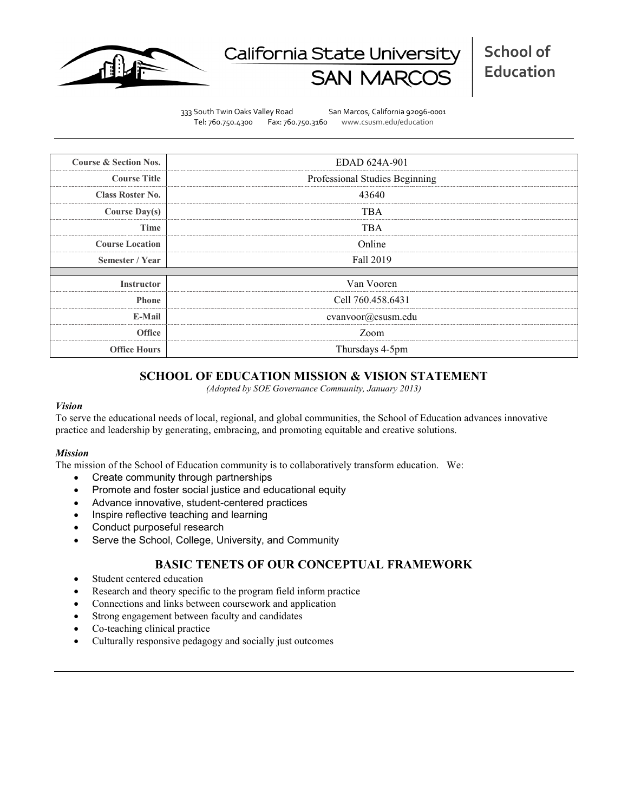

# California State Universit

333 South Twin Oaks Valley Road San Marcos, California 92096-0001 Tel: 760.750.4300 Fax: 760.750.3160 www.csusm.edu/education

| <b>Course &amp; Section Nos.</b> | EDAD 624A-901                  |  |  |  |  |
|----------------------------------|--------------------------------|--|--|--|--|
| <b>Course Title</b>              | Professional Studies Beginning |  |  |  |  |
| <b>Class Roster No.</b>          | 43640                          |  |  |  |  |
| <b>Course Day(s)</b>             | TBA                            |  |  |  |  |
| Time                             | TBA                            |  |  |  |  |
| <b>Course Location</b>           | Online                         |  |  |  |  |
| Semester / Year                  | Fall 2019                      |  |  |  |  |
|                                  |                                |  |  |  |  |
| <b>Instructor</b>                | Van Vooren                     |  |  |  |  |
| <b>Phone</b>                     | Cell 760.458.6431              |  |  |  |  |
| E-Mail                           | cvanvoor@csusm.edu             |  |  |  |  |
| <b>Office</b>                    | Zoom                           |  |  |  |  |
| <b>Office Hours</b>              | Thursdays 4-5pm                |  |  |  |  |

# **SCHOOL OF EDUCATION MISSION & VISION STATEMENT**

*(Adopted by SOE Governance Community, January 2013)*

#### *Vision*

To serve the educational needs of local, regional, and global communities, the School of Education advances innovative practice and leadership by generating, embracing, and promoting equitable and creative solutions.

#### *Mission*

The mission of the School of Education community is to collaboratively transform education. We:

- Create community through partnerships
- Promote and foster social justice and educational equity
- Advance innovative, student-centered practices
- Inspire reflective teaching and learning
- Conduct purposeful research
- Serve the School, College, University, and Community

# **BASIC TENETS OF OUR CONCEPTUAL FRAMEWORK**

- Student centered education
- Research and theory specific to the program field inform practice
- Connections and links between coursework and application
- Strong engagement between faculty and candidates
- Co-teaching clinical practice
- Culturally responsive pedagogy and socially just outcomes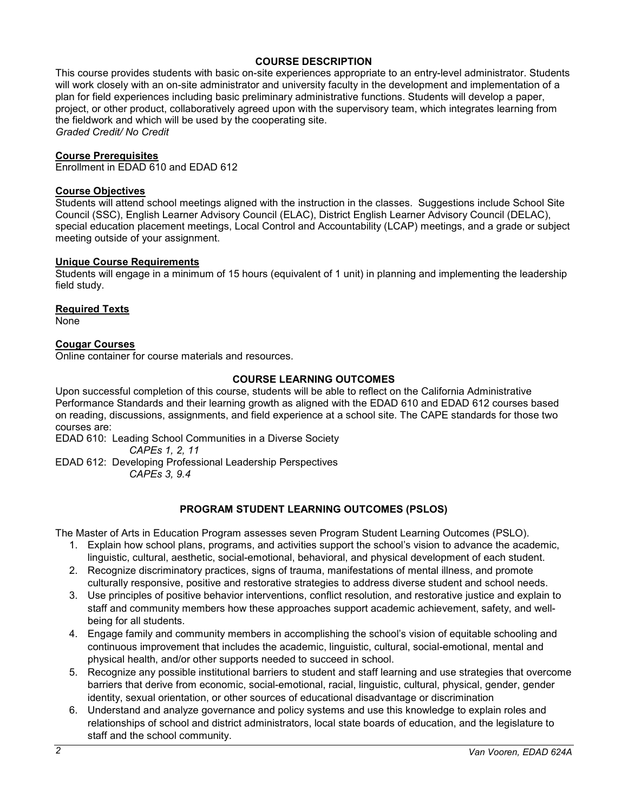# **COURSE DESCRIPTION**

This course provides students with basic on-site experiences appropriate to an entry-level administrator. Students will work closely with an on-site administrator and university faculty in the development and implementation of a plan for field experiences including basic preliminary administrative functions. Students will develop a paper, project, or other product, collaboratively agreed upon with the supervisory team, which integrates learning from the fieldwork and which will be used by the cooperating site. *Graded Credit/ No Credit*

#### **Course Prerequisites**

Enrollment in EDAD 610 and EDAD 612

#### **Course Objectives**

Students will attend school meetings aligned with the instruction in the classes. Suggestions include School Site Council (SSC), English Learner Advisory Council (ELAC), District English Learner Advisory Council (DELAC), special education placement meetings, Local Control and Accountability (LCAP) meetings, and a grade or subject meeting outside of your assignment.

### **Unique Course Requirements**

Students will engage in a minimum of 15 hours (equivalent of 1 unit) in planning and implementing the leadership field study.

#### **Required Texts**

None

# **Cougar Courses**

Online container for course materials and resources.

## **COURSE LEARNING OUTCOMES**

Upon successful completion of this course, students will be able to reflect on the California Administrative Performance Standards and their learning growth as aligned with the EDAD 610 and EDAD 612 courses based on reading, discussions, assignments, and field experience at a school site. The CAPE standards for those two courses are:

EDAD 610: Leading School Communities in a Diverse Society *CAPEs 1, 2, 11*

EDAD 612: Developing Professional Leadership Perspectives

*CAPEs 3, 9.4*

# **PROGRAM STUDENT LEARNING OUTCOMES (PSLOS)**

The Master of Arts in Education Program assesses seven Program Student Learning Outcomes (PSLO).

- 1. Explain how school plans, programs, and activities support the school's vision to advance the academic, linguistic, cultural, aesthetic, social-emotional, behavioral, and physical development of each student.
- 2. Recognize discriminatory practices, signs of trauma, manifestations of mental illness, and promote culturally responsive, positive and restorative strategies to address diverse student and school needs.
- 3. Use principles of positive behavior interventions, conflict resolution, and restorative justice and explain to staff and community members how these approaches support academic achievement, safety, and wellbeing for all students.
- 4. Engage family and community members in accomplishing the school's vision of equitable schooling and continuous improvement that includes the academic, linguistic, cultural, social-emotional, mental and physical health, and/or other supports needed to succeed in school.
- 5. Recognize any possible institutional barriers to student and staff learning and use strategies that overcome barriers that derive from economic, social-emotional, racial, linguistic, cultural, physical, gender, gender identity, sexual orientation, or other sources of educational disadvantage or discrimination
- 6. Understand and analyze governance and policy systems and use this knowledge to explain roles and relationships of school and district administrators, local state boards of education, and the legislature to staff and the school community.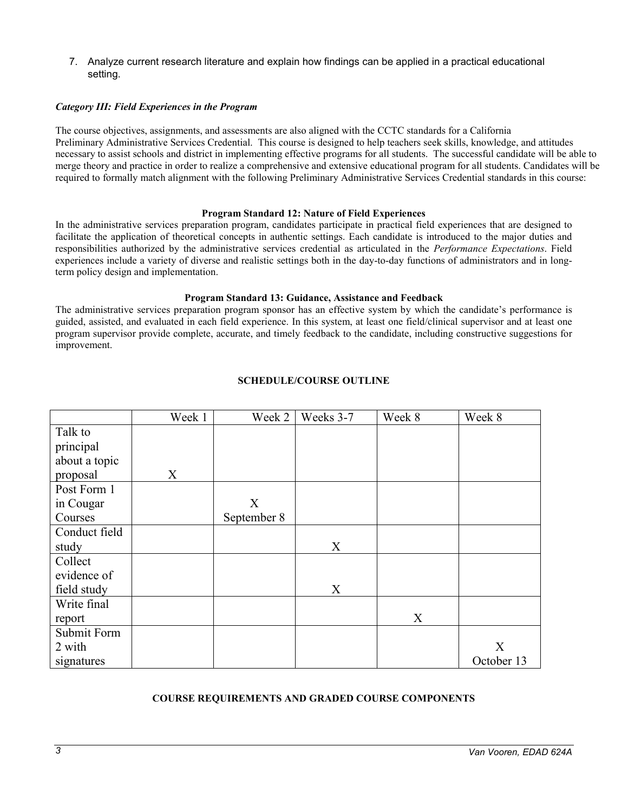7. Analyze current research literature and explain how findings can be applied in a practical educational setting.

## *Category III: Field Experiences in the Program*

The course objectives, assignments, and assessments are also aligned with the CCTC standards for a California Preliminary Administrative Services Credential. This course is designed to help teachers seek skills, knowledge, and attitudes necessary to assist schools and district in implementing effective programs for all students. The successful candidate will be able to merge theory and practice in order to realize a comprehensive and extensive educational program for all students. Candidates will be required to formally match alignment with the following Preliminary Administrative Services Credential standards in this course:

#### **Program Standard 12: Nature of Field Experiences**

In the administrative services preparation program, candidates participate in practical field experiences that are designed to facilitate the application of theoretical concepts in authentic settings. Each candidate is introduced to the major duties and responsibilities authorized by the administrative services credential as articulated in the *Performance Expectations*. Field experiences include a variety of diverse and realistic settings both in the day-to-day functions of administrators and in longterm policy design and implementation.

#### **Program Standard 13: Guidance, Assistance and Feedback**

The administrative services preparation program sponsor has an effective system by which the candidate's performance is guided, assisted, and evaluated in each field experience. In this system, at least one field/clinical supervisor and at least one program supervisor provide complete, accurate, and timely feedback to the candidate, including constructive suggestions for improvement.

|               | Week 1 | Week 2      | Weeks 3-7 | Week 8 | Week 8     |
|---------------|--------|-------------|-----------|--------|------------|
| Talk to       |        |             |           |        |            |
| principal     |        |             |           |        |            |
| about a topic |        |             |           |        |            |
| proposal      | X      |             |           |        |            |
| Post Form 1   |        |             |           |        |            |
| in Cougar     |        | X           |           |        |            |
| Courses       |        | September 8 |           |        |            |
| Conduct field |        |             |           |        |            |
| study         |        |             | X         |        |            |
| Collect       |        |             |           |        |            |
| evidence of   |        |             |           |        |            |
| field study   |        |             | X         |        |            |
| Write final   |        |             |           |        |            |
| report        |        |             |           | X      |            |
| Submit Form   |        |             |           |        |            |
| 2 with        |        |             |           |        | X          |
| signatures    |        |             |           |        | October 13 |

# **SCHEDULE/COURSE OUTLINE**

#### **COURSE REQUIREMENTS AND GRADED COURSE COMPONENTS**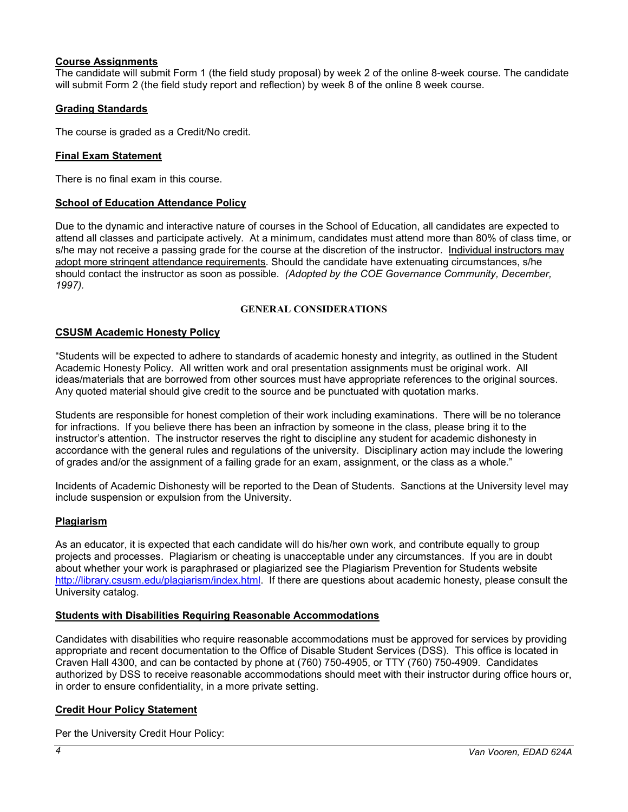# **Course Assignments**

The candidate will submit Form 1 (the field study proposal) by week 2 of the online 8-week course. The candidate will submit Form 2 (the field study report and reflection) by week 8 of the online 8 week course.

# **Grading Standards**

The course is graded as a Credit/No credit.

# **Final Exam Statement**

There is no final exam in this course.

# **School of Education Attendance Policy**

Due to the dynamic and interactive nature of courses in the School of Education, all candidates are expected to attend all classes and participate actively. At a minimum, candidates must attend more than 80% of class time, or s/he may not receive a passing grade for the course at the discretion of the instructor. Individual instructors may adopt more stringent attendance requirements. Should the candidate have extenuating circumstances, s/he should contact the instructor as soon as possible. *(Adopted by the COE Governance Community, December, 1997).*

#### **GENERAL CONSIDERATIONS**

# **CSUSM Academic Honesty Policy**

"Students will be expected to adhere to standards of academic honesty and integrity, as outlined in the Student Academic Honesty Policy. All written work and oral presentation assignments must be original work. All ideas/materials that are borrowed from other sources must have appropriate references to the original sources. Any quoted material should give credit to the source and be punctuated with quotation marks.

Students are responsible for honest completion of their work including examinations. There will be no tolerance for infractions. If you believe there has been an infraction by someone in the class, please bring it to the instructor's attention. The instructor reserves the right to discipline any student for academic dishonesty in accordance with the general rules and regulations of the university. Disciplinary action may include the lowering of grades and/or the assignment of a failing grade for an exam, assignment, or the class as a whole."

Incidents of Academic Dishonesty will be reported to the Dean of Students. Sanctions at the University level may include suspension or expulsion from the University.

# **Plagiarism**

As an educator, it is expected that each candidate will do his/her own work, and contribute equally to group projects and processes. Plagiarism or cheating is unacceptable under any circumstances. If you are in doubt about whether your work is paraphrased or plagiarized see the Plagiarism Prevention for Students website [http://library.csusm.edu/plagiarism/index.html.](http://library.csusm.edu/plagiarism/index.html) If there are questions about academic honesty, please consult the University catalog.

#### **Students with Disabilities Requiring Reasonable Accommodations**

Candidates with disabilities who require reasonable accommodations must be approved for services by providing appropriate and recent documentation to the Office of Disable Student Services (DSS). This office is located in Craven Hall 4300, and can be contacted by phone at (760) 750-4905, or TTY (760) 750-4909. Candidates authorized by DSS to receive reasonable accommodations should meet with their instructor during office hours or, in order to ensure confidentiality, in a more private setting.

# **Credit Hour Policy Statement**

Per the University Credit Hour Policy: